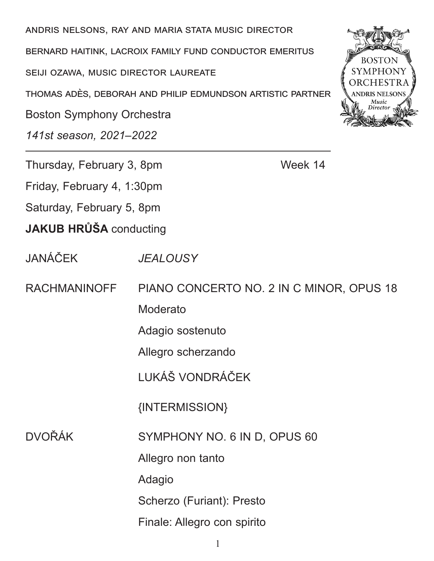andris nelsons, ray and maria stata music director

bernard haitink, lacroix family fund conductor emeritus

seiji ozawa, music director laureate

thomas adès, deborah and philip edmundson artistic partner

Boston Symphony Orchestra

*141st season, 2021–2022*

Thursday, February 3, 8pm Week 14

Friday, February 4, 1:30pm Saturday, February 5, 8pm

**JAKUB HRŮŠA** conducting

JANÁČEK *JEALOUSY*

RACHMANINOFF PIANO CONCERTO NO. 2 IN C MINOR, OPUS 18

Moderato

Adagio sostenuto

Allegro scherzando

LUKÁŠ VONDRÁČEK

{INTERMISSION}

DVOŘÁK SYMPHONY NO. 6 IN D, OPUS 60

Allegro non tanto

Adagio

Scherzo (Furiant): Presto

Finale: Allegro con spirito

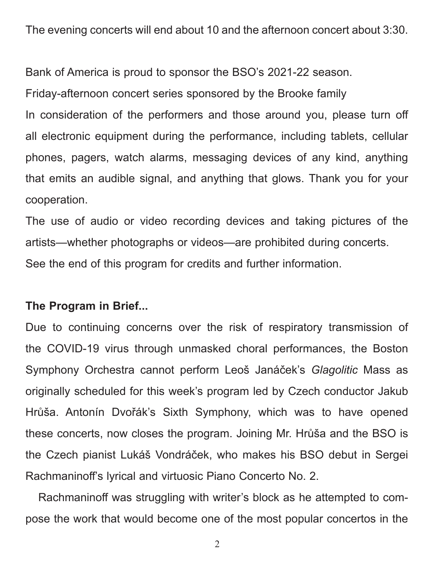The evening concerts will end about 10 and the afternoon concert about 3:30.

Bank of America is proud to sponsor the BSO's 2021-22 season.

Friday-afternoon concert series sponsored by the Brooke family

In consideration of the performers and those around you, please turn off all electronic equipment during the performance, including tablets, cellular phones, pagers, watch alarms, messaging devices of any kind, anything that emits an audible signal, and anything that glows. Thank you for your cooperation.

The use of audio or video recording devices and taking pictures of the artists—whether photographs or videos—are prohibited during concerts. See the end of this program for credits and further information.

### **The Program in Brief...**

Due to continuing concerns over the risk of respiratory transmission of the COVID-19 virus through unmasked choral performances, the Boston Symphony Orchestra cannot perform Leoš Janáček's *Glagolitic* Mass as originally scheduled for this week's program led by Czech conductor Jakub Hrůša. Antonín Dvořák's Sixth Symphony, which was to have opened these concerts, now closes the program. Joining Mr. Hrůša and the BSO is the Czech pianist Lukáš Vondráček, who makes his BSO debut in Sergei Rachmaninoff's lyrical and virtuosic Piano Concerto No. 2.

Rachmaninoff was struggling with writer's block as he attempted to compose the work that would become one of the most popular concertos in the

2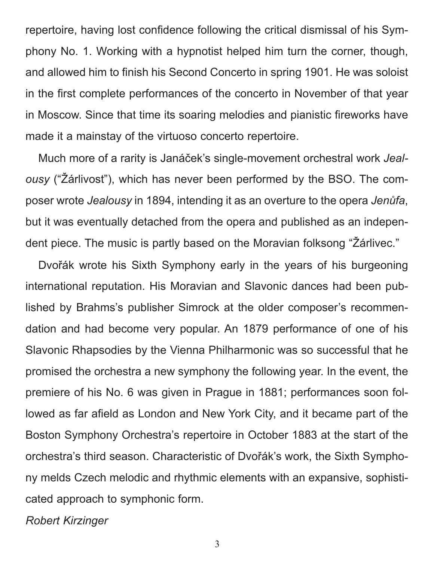repertoire, having lost confidence following the critical dismissal of his Symphony No. 1. Working with a hypnotist helped him turn the corner, though, and allowed him to finish his Second Concerto in spring 1901. He was soloist in the first complete performances of the concerto in November of that year in Moscow. Since that time its soaring melodies and pianistic fireworks have made it a mainstay of the virtuoso concerto repertoire.

Much more of a rarity is Janáček's single-movement orchestral work *Jealousy* ("Žárlivost"), which has never been performed by the BSO. The composer wrote *Jealousy* in 1894, intending it as an overture to the opera *Jenůfa*, but it was eventually detached from the opera and published as an independent piece. The music is partly based on the Moravian folksong "Žárlivec."

Dvořák wrote his Sixth Symphony early in the years of his burgeoning international reputation. His Moravian and Slavonic dances had been published by Brahms's publisher Simrock at the older composer's recommendation and had become very popular. An 1879 performance of one of his Slavonic Rhapsodies by the Vienna Philharmonic was so successful that he promised the orchestra a new symphony the following year. In the event, the premiere of his No. 6 was given in Prague in 1881; performances soon followed as far afield as London and New York City, and it became part of the Boston Symphony Orchestra's repertoire in October 1883 at the start of the orchestra's third season. Characteristic of Dvořák's work, the Sixth Symphony melds Czech melodic and rhythmic elements with an expansive, sophisticated approach to symphonic form.

*Robert Kirzinger*

3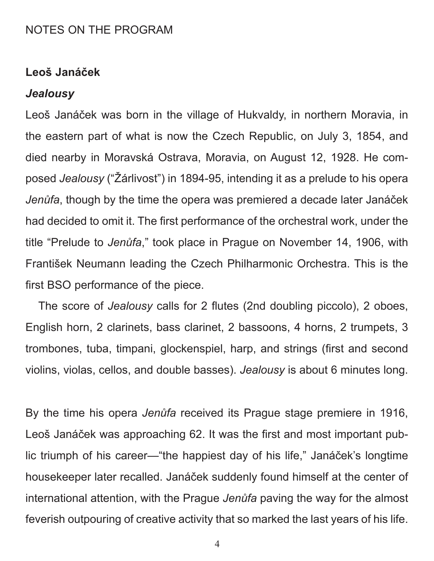# NOTES ON THE PROGRAM

### **Leoš Janáček**

#### *Jealousy*

Leoš Janáček was born in the village of Hukvaldy, in northern Moravia, in the eastern part of what is now the Czech Republic, on July 3, 1854, and died nearby in Moravská Ostrava, Moravia, on August 12, 1928. He composed *Jealousy* ("Žárlivost") in 1894-95, intending it as a prelude to his opera *Jenůfa*, though by the time the opera was premiered a decade later Janáček had decided to omit it. The first performance of the orchestral work, under the title "Prelude to *Jenůfa*," took place in Prague on November 14, 1906, with František Neumann leading the Czech Philharmonic Orchestra. This is the first BSO performance of the piece.

The score of *Jealousy* calls for 2 flutes (2nd doubling piccolo), 2 oboes, English horn, 2 clarinets, bass clarinet, 2 bassoons, 4 horns, 2 trumpets, 3 trombones, tuba, timpani, glockenspiel, harp, and strings (first and second violins, violas, cellos, and double basses). *Jealousy* is about 6 minutes long.

By the time his opera *Jenůfa* received its Prague stage premiere in 1916, Leoš Janáček was approaching 62. It was the first and most important public triumph of his career—"the happiest day of his life," Janáček's longtime housekeeper later recalled. Janáček suddenly found himself at the center of international attention, with the Prague *Jenůfa* paving the way for the almost feverish outpouring of creative activity that so marked the last years of his life.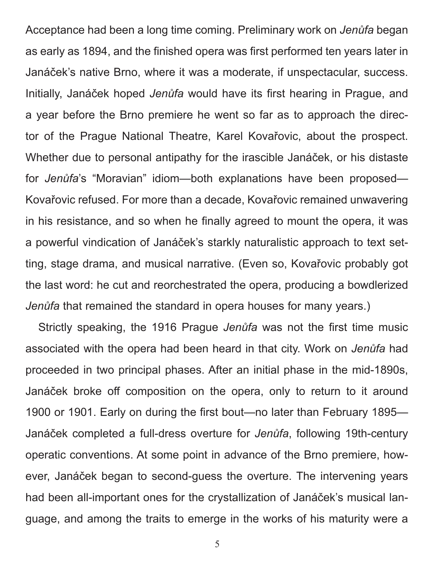Acceptance had been a long time coming. Preliminary work on *Jenůfa* began as early as 1894, and the finished opera was first performed ten years later in Janáček's native Brno, where it was a moderate, if unspectacular, success. Initially, Janáček hoped *Jenůfa* would have its first hearing in Prague, and a year before the Brno premiere he went so far as to approach the director of the Prague National Theatre, Karel Kovařovic, about the prospect. Whether due to personal antipathy for the irascible Janáček, or his distaste for *Jenůfa*'s "Moravian" idiom—both explanations have been proposed— Kovařovic refused. For more than a decade, Kovařovic remained unwavering in his resistance, and so when he finally agreed to mount the opera, it was a powerful vindication of Janáček's starkly naturalistic approach to text setting, stage drama, and musical narrative. (Even so, Kovařovic probably got the last word: he cut and reorchestrated the opera, producing a bowdlerized *Jenůfa* that remained the standard in opera houses for many years.)

Strictly speaking, the 1916 Prague *Jenůfa* was not the first time music associated with the opera had been heard in that city. Work on *Jenůfa* had proceeded in two principal phases. After an initial phase in the mid-1890s, Janáček broke off composition on the opera, only to return to it around 1900 or 1901. Early on during the first bout—no later than February 1895— Janáček completed a full-dress overture for *Jenůfa*, following 19th-century operatic conventions. At some point in advance of the Brno premiere, however, Janáček began to second-guess the overture. The intervening years had been all-important ones for the crystallization of Janáček's musical language, and among the traits to emerge in the works of his maturity were a

5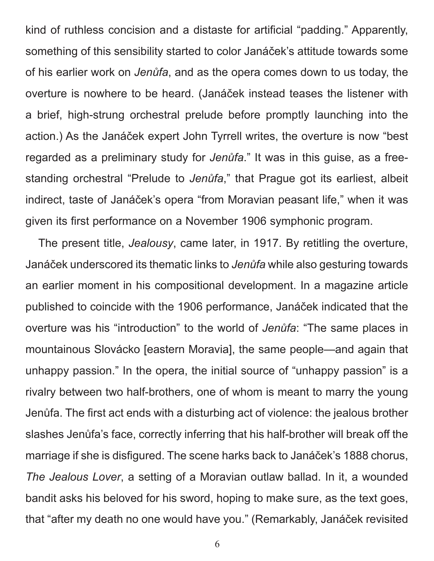kind of ruthless concision and a distaste for artificial "padding." Apparently, something of this sensibility started to color Janáček's attitude towards some of his earlier work on *Jenůfa*, and as the opera comes down to us today, the overture is nowhere to be heard. (Janáček instead teases the listener with a brief, high-strung orchestral prelude before promptly launching into the action.) As the Janáček expert John Tyrrell writes, the overture is now "best regarded as a preliminary study for *Jenůfa*." It was in this guise, as a freestanding orchestral "Prelude to *Jenůfa*," that Prague got its earliest, albeit indirect, taste of Janáček's opera "from Moravian peasant life," when it was given its first performance on a November 1906 symphonic program.

The present title, *Jealousy*, came later, in 1917. By retitling the overture, Janáček underscored its thematic links to *Jenůfa* while also gesturing towards an earlier moment in his compositional development. In a magazine article published to coincide with the 1906 performance, Janáček indicated that the overture was his "introduction" to the world of *Jenůfa*: "The same places in mountainous Slovácko [eastern Moravia], the same people—and again that unhappy passion." In the opera, the initial source of "unhappy passion" is a rivalry between two half-brothers, one of whom is meant to marry the young Jenůfa. The first act ends with a disturbing act of violence: the jealous brother slashes Jenůfa's face, correctly inferring that his half-brother will break off the marriage if she is disfigured. The scene harks back to Janáček's 1888 chorus, *The Jealous Lover*, a setting of a Moravian outlaw ballad. In it, a wounded bandit asks his beloved for his sword, hoping to make sure, as the text goes, that "after my death no one would have you." (Remarkably, Janáček revisited

6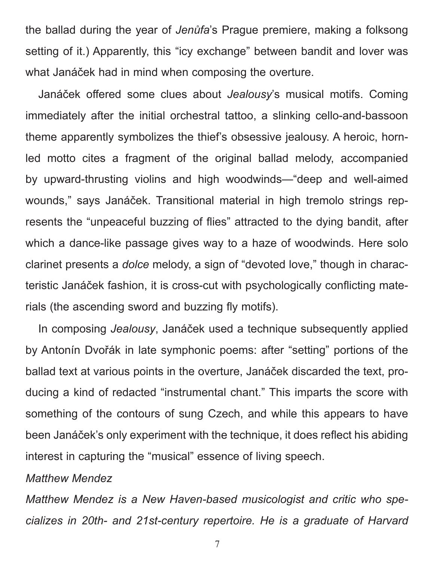the ballad during the year of *Jenůfa*'s Prague premiere, making a folksong setting of it.) Apparently, this "icy exchange" between bandit and lover was what Janáček had in mind when composing the overture.

Janáček offered some clues about *Jealousy*'s musical motifs. Coming immediately after the initial orchestral tattoo, a slinking cello-and-bassoon theme apparently symbolizes the thief's obsessive jealousy. A heroic, hornled motto cites a fragment of the original ballad melody, accompanied by upward-thrusting violins and high woodwinds—"deep and well-aimed wounds," says Janáček. Transitional material in high tremolo strings represents the "unpeaceful buzzing of flies" attracted to the dying bandit, after which a dance-like passage gives way to a haze of woodwinds. Here solo clarinet presents a *dolce* melody, a sign of "devoted love," though in characteristic Janáček fashion, it is cross-cut with psychologically conflicting materials (the ascending sword and buzzing fly motifs).

In composing *Jealousy*, Janáček used a technique subsequently applied by Antonín Dvořák in late symphonic poems: after "setting" portions of the ballad text at various points in the overture, Janáček discarded the text, producing a kind of redacted "instrumental chant." This imparts the score with something of the contours of sung Czech, and while this appears to have been Janáček's only experiment with the technique, it does reflect his abiding interest in capturing the "musical" essence of living speech.

### *Matthew Mendez*

*Matthew Mendez is a New Haven-based musicologist and critic who specializes in 20th- and 21st-century repertoire. He is a graduate of Harvard*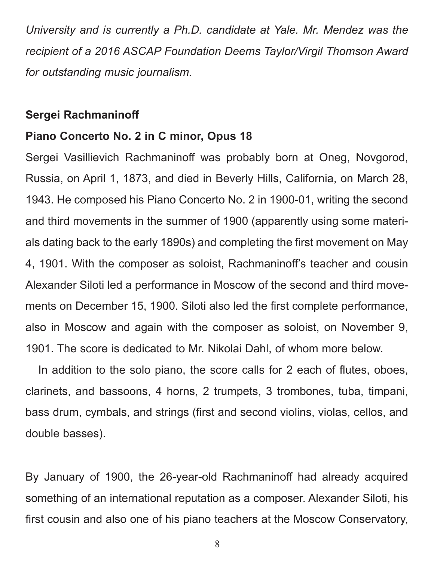*University and is currently a Ph.D. candidate at Yale. Mr. Mendez was the recipient of a 2016 ASCAP Foundation Deems Taylor/Virgil Thomson Award for outstanding music journalism.*

### **Sergei Rachmaninoff**

### **Piano Concerto No. 2 in C minor, Opus 18**

Sergei Vasillievich Rachmaninoff was probably born at Oneg, Novgorod, Russia, on April 1, 1873, and died in Beverly Hills, California, on March 28, 1943. He composed his Piano Concerto No. 2 in 1900-01, writing the second and third movements in the summer of 1900 (apparently using some materials dating back to the early 1890s) and completing the first movement on May 4, 1901. With the composer as soloist, Rachmaninoff's teacher and cousin Alexander Siloti led a performance in Moscow of the second and third movements on December 15, 1900. Siloti also led the first complete performance, also in Moscow and again with the composer as soloist, on November 9, 1901. The score is dedicated to Mr. Nikolai Dahl, of whom more below.

In addition to the solo piano, the score calls for 2 each of flutes, oboes, clarinets, and bassoons, 4 horns, 2 trumpets, 3 trombones, tuba, timpani, bass drum, cymbals, and strings (first and second violins, violas, cellos, and double basses).

By January of 1900, the 26-year-old Rachmaninoff had already acquired something of an international reputation as a composer. Alexander Siloti, his first cousin and also one of his piano teachers at the Moscow Conservatory,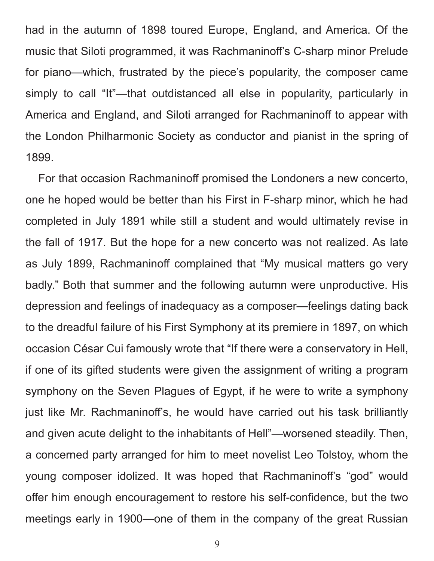had in the autumn of 1898 toured Europe, England, and America. Of the music that Siloti programmed, it was Rachmaninoff's C-sharp minor Prelude for piano—which, frustrated by the piece's popularity, the composer came simply to call "It"—that outdistanced all else in popularity, particularly in America and England, and Siloti arranged for Rachmaninoff to appear with the London Philharmonic Society as conductor and pianist in the spring of 1899.

For that occasion Rachmaninoff promised the Londoners a new concerto, one he hoped would be better than his First in F-sharp minor, which he had completed in July 1891 while still a student and would ultimately revise in the fall of 1917. But the hope for a new concerto was not realized. As late as July 1899, Rachmaninoff complained that "My musical matters go very badly." Both that summer and the following autumn were unproductive. His depression and feelings of inadequacy as a composer—feelings dating back to the dreadful failure of his First Symphony at its premiere in 1897, on which occasion César Cui famously wrote that "If there were a conservatory in Hell, if one of its gifted students were given the assignment of writing a program symphony on the Seven Plagues of Egypt, if he were to write a symphony just like Mr. Rachmaninoff's, he would have carried out his task brilliantly and given acute delight to the inhabitants of Hell"—worsened steadily. Then, a concerned party arranged for him to meet novelist Leo Tolstoy, whom the young composer idolized. It was hoped that Rachmaninoff's "god" would offer him enough encouragement to restore his self-confidence, but the two meetings early in 1900—one of them in the company of the great Russian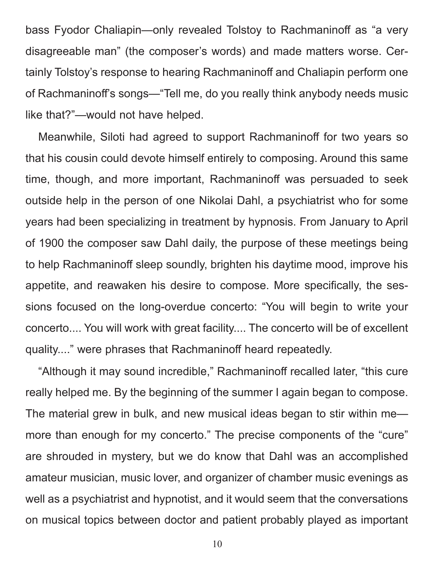bass Fyodor Chaliapin—only revealed Tolstoy to Rachmaninoff as "a very disagreeable man" (the composer's words) and made matters worse. Certainly Tolstoy's response to hearing Rachmaninoff and Chaliapin perform one of Rachmaninoff's songs—"Tell me, do you really think anybody needs music like that?"—would not have helped.

Meanwhile, Siloti had agreed to support Rachmaninoff for two years so that his cousin could devote himself entirely to composing. Around this same time, though, and more important, Rachmaninoff was persuaded to seek outside help in the person of one Nikolai Dahl, a psychiatrist who for some years had been specializing in treatment by hypnosis. From January to April of 1900 the composer saw Dahl daily, the purpose of these meetings being to help Rachmaninoff sleep soundly, brighten his daytime mood, improve his appetite, and reawaken his desire to compose. More specifically, the sessions focused on the long-overdue concerto: "You will begin to write your concerto.... You will work with great facility.... The concerto will be of excellent quality...." were phrases that Rachmaninoff heard repeatedly.

"Although it may sound incredible," Rachmaninoff recalled later, "this cure really helped me. By the beginning of the summer I again began to compose. The material grew in bulk, and new musical ideas began to stir within me more than enough for my concerto." The precise components of the "cure" are shrouded in mystery, but we do know that Dahl was an accomplished amateur musician, music lover, and organizer of chamber music evenings as well as a psychiatrist and hypnotist, and it would seem that the conversations on musical topics between doctor and patient probably played as important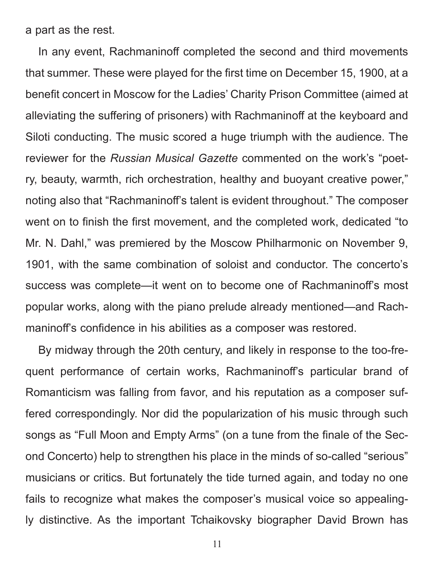a part as the rest.

In any event, Rachmaninoff completed the second and third movements that summer. These were played for the first time on December 15, 1900, at a benefit concert in Moscow for the Ladies' Charity Prison Committee (aimed at alleviating the suffering of prisoners) with Rachmaninoff at the keyboard and Siloti conducting. The music scored a huge triumph with the audience. The reviewer for the *Russian Musical Gazette* commented on the work's "poetry, beauty, warmth, rich orchestration, healthy and buoyant creative power," noting also that "Rachmaninoff's talent is evident throughout." The composer went on to finish the first movement, and the completed work, dedicated "to Mr. N. Dahl," was premiered by the Moscow Philharmonic on November 9, 1901, with the same combination of soloist and conductor. The concerto's success was complete—it went on to become one of Rachmaninoff's most popular works, along with the piano prelude already mentioned—and Rachmaninoff's confidence in his abilities as a composer was restored.

By midway through the 20th century, and likely in response to the too-frequent performance of certain works, Rachmaninoff's particular brand of Romanticism was falling from favor, and his reputation as a composer suffered correspondingly. Nor did the popularization of his music through such songs as "Full Moon and Empty Arms" (on a tune from the finale of the Second Concerto) help to strengthen his place in the minds of so-called "serious" musicians or critics. But fortunately the tide turned again, and today no one fails to recognize what makes the composer's musical voice so appealingly distinctive. As the important Tchaikovsky biographer David Brown has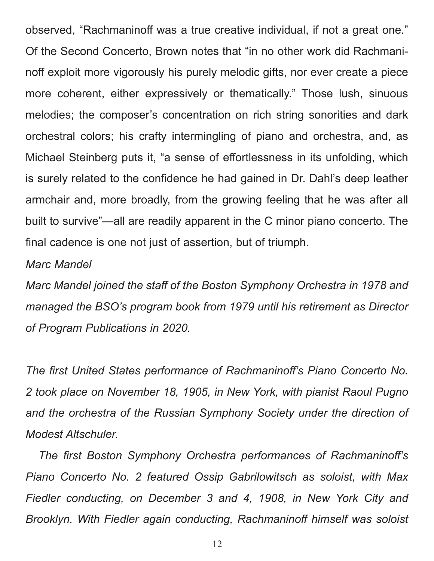observed, "Rachmaninoff was a true creative individual, if not a great one." Of the Second Concerto, Brown notes that "in no other work did Rachmaninoff exploit more vigorously his purely melodic gifts, nor ever create a piece more coherent, either expressively or thematically." Those lush, sinuous melodies; the composer's concentration on rich string sonorities and dark orchestral colors; his crafty intermingling of piano and orchestra, and, as Michael Steinberg puts it, "a sense of effortlessness in its unfolding, which is surely related to the confidence he had gained in Dr. Dahl's deep leather armchair and, more broadly, from the growing feeling that he was after all built to survive"—all are readily apparent in the C minor piano concerto. The final cadence is one not just of assertion, but of triumph.

### *Marc Mandel*

*Marc Mandel joined the staff of the Boston Symphony Orchestra in 1978 and managed the BSO's program book from 1979 until his retirement as Director of Program Publications in 2020.* 

*The first United States performance of Rachmaninoff's Piano Concerto No. 2 took place on November 18, 1905, in New York, with pianist Raoul Pugno*  and the orchestra of the Russian Symphony Society under the direction of *Modest Altschuler.* 

*The first Boston Symphony Orchestra performances of Rachmaninoff's Piano Concerto No. 2 featured Ossip Gabrilowitsch as soloist, with Max Fiedler conducting, on December 3 and 4, 1908, in New York City and Brooklyn. With Fiedler again conducting, Rachmaninoff himself was soloist*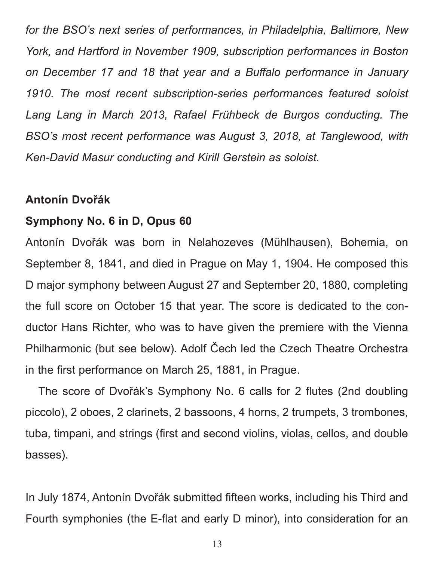*for the BSO's next series of performances, in Philadelphia, Baltimore, New York, and Hartford in November 1909, subscription performances in Boston on December 17 and 18 that year and a Buffalo performance in January 1910. The most recent subscription-series performances featured soloist*  Lang Lang in March 2013, Rafael Frühbeck de Burgos conducting. The *BSO's most recent performance was August 3, 2018, at Tanglewood, with Ken-David Masur conducting and Kirill Gerstein as soloist.*

### **Antonín Dvořák**

# **Symphony No. 6 in D, Opus 60**

Antonín Dvořák was born in Nelahozeves (Mühlhausen), Bohemia, on September 8, 1841, and died in Prague on May 1, 1904. He composed this D major symphony between August 27 and September 20, 1880, completing the full score on October 15 that year. The score is dedicated to the conductor Hans Richter, who was to have given the premiere with the Vienna Philharmonic (but see below). Adolf Čech led the Czech Theatre Orchestra in the first performance on March 25, 1881, in Prague.

 The score of Dvořák's Symphony No. 6 calls for 2 flutes (2nd doubling piccolo), 2 oboes, 2 clarinets, 2 bassoons, 4 horns, 2 trumpets, 3 trombones, tuba, timpani, and strings (first and second violins, violas, cellos, and double basses).

In July 1874, Antonín Dvořák submitted fifteen works, including his Third and Fourth symphonies (the E-flat and early D minor), into consideration for an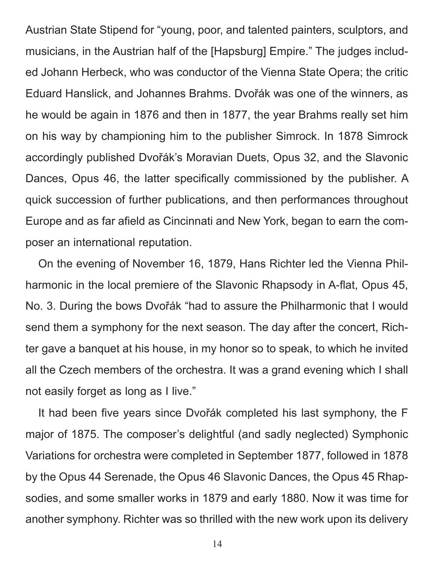Austrian State Stipend for "young, poor, and talented painters, sculptors, and musicians, in the Austrian half of the [Hapsburg] Empire." The judges included Johann Herbeck, who was conductor of the Vienna State Opera; the critic Eduard Hanslick, and Johannes Brahms. Dvořák was one of the winners, as he would be again in 1876 and then in 1877, the year Brahms really set him on his way by championing him to the publisher Simrock. In 1878 Simrock accordingly published Dvořák's Moravian Duets, Opus 32, and the Slavonic Dances, Opus 46, the latter specifically commissioned by the publisher. A quick succession of further publications, and then performances throughout Europe and as far afield as Cincinnati and New York, began to earn the composer an international reputation.

On the evening of November 16, 1879, Hans Richter led the Vienna Philharmonic in the local premiere of the Slavonic Rhapsody in A-flat, Opus 45, No. 3. During the bows Dvořák "had to assure the Philharmonic that I would send them a symphony for the next season. The day after the concert, Richter gave a banquet at his house, in my honor so to speak, to which he invited all the Czech members of the orchestra. It was a grand evening which I shall not easily forget as long as I live."

It had been five years since Dvořák completed his last symphony, the F major of 1875. The composer's delightful (and sadly neglected) Symphonic Variations for orchestra were completed in September 1877, followed in 1878 by the Opus 44 Serenade, the Opus 46 Slavonic Dances, the Opus 45 Rhapsodies, and some smaller works in 1879 and early 1880. Now it was time for another symphony. Richter was so thrilled with the new work upon its delivery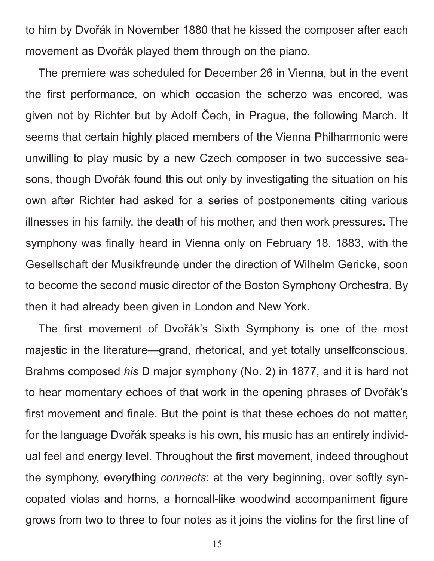to him by Dvořák in November 1880 that he kissed the composer after each movement as Dvořák played them through on the piano.

The premiere was scheduled for December 26 in Vienna, but in the event the first performance, on which occasion the scherzo was encored, was given not by Richter but by Adolf Čech, in Prague, the following March. It seems that certain highly placed members of the Vienna Philharmonic were unwilling to play music by a new Czech composer in two successive seasons, though Dvořák found this out only by investigating the situation on his own after Richter had asked for a series of postponements citing various illnesses in his family, the death of his mother, and then work pressures. The symphony was finally heard in Vienna only on February 18, 1883, with the Gesellschaft der Musikfreunde under the direction of Wilhelm Gericke, soon to become the second music director of the Boston Symphony Orchestra. By then it had already been given in London and New York.

The first movement of Dvořák's Sixth Symphony is one of the most majestic in the literature—grand, rhetorical, and yet totally unselfconscious. Brahms composed *his* D major symphony (No. 2) in 1877, and it is hard not to hear momentary echoes of that work in the opening phrases of Dvořák's first movement and finale. But the point is that these echoes do not matter, for the language Dvořák speaks is his own, his music has an entirely individual feel and energy level. Throughout the first movement, indeed throughout the symphony, everything *connects*: at the very beginning, over softly syncopated violas and horns, a horncall-like woodwind accompaniment figure grows from two to three to four notes as it joins the violins for the first line of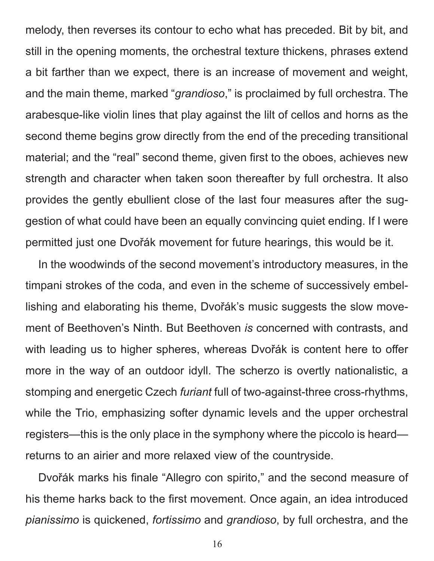melody, then reverses its contour to echo what has preceded. Bit by bit, and still in the opening moments, the orchestral texture thickens, phrases extend a bit farther than we expect, there is an increase of movement and weight, and the main theme, marked "*grandioso*," is proclaimed by full orchestra. The arabesque-like violin lines that play against the lilt of cellos and horns as the second theme begins grow directly from the end of the preceding transitional material; and the "real" second theme, given first to the oboes, achieves new strength and character when taken soon thereafter by full orchestra. It also provides the gently ebullient close of the last four measures after the suggestion of what could have been an equally convincing quiet ending. If I were permitted just one Dvořák movement for future hearings, this would be it.

In the woodwinds of the second movement's introductory measures, in the timpani strokes of the coda, and even in the scheme of successively embellishing and elaborating his theme, Dvořák's music suggests the slow movement of Beethoven's Ninth. But Beethoven *is* concerned with contrasts, and with leading us to higher spheres, whereas Dvořák is content here to offer more in the way of an outdoor idyll. The scherzo is overtly nationalistic, a stomping and energetic Czech *furiant* full of two-against-three cross-rhythms, while the Trio, emphasizing softer dynamic levels and the upper orchestral registers—this is the only place in the symphony where the piccolo is heard returns to an airier and more relaxed view of the countryside.

Dvořák marks his finale "Allegro con spirito," and the second measure of his theme harks back to the first movement. Once again, an idea introduced *pianissimo* is quickened, *fortissimo* and *grandioso*, by full orchestra, and the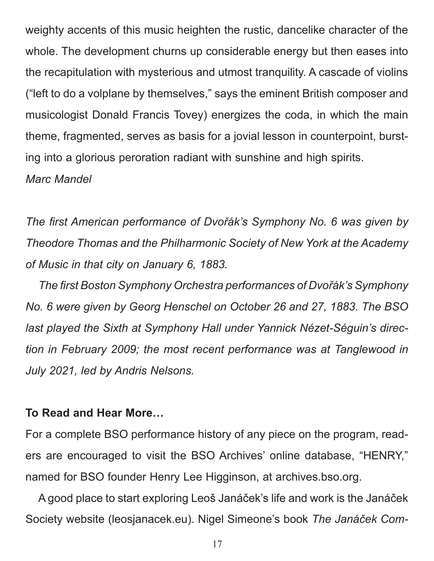weighty accents of this music heighten the rustic, dancelike character of the whole. The development churns up considerable energy but then eases into the recapitulation with mysterious and utmost tranquility. A cascade of violins ("left to do a volplane by themselves," says the eminent British composer and musicologist Donald Francis Tovey) energizes the coda, in which the main theme, fragmented, serves as basis for a jovial lesson in counterpoint, bursting into a glorious peroration radiant with sunshine and high spirits. *Marc Mandel*

*The first American performance of Dvořák's Symphony No. 6 was given by Theodore Thomas and the Philharmonic Society of New York at the Academy of Music in that city on January 6, 1883.*

*The first Boston Symphony Orchestra performances of Dvořák's Symphony No. 6 were given by Georg Henschel on October 26 and 27, 1883. The BSO last played the Sixth at Symphony Hall under Yannick Nézet-Séguin's direction in February 2009; the most recent performance was at Tanglewood in July 2021, led by Andris Nelsons.*

## **To Read and Hear More…**

For a complete BSO performance history of any piece on the program, readers are encouraged to visit the BSO Archives' online database, "HENRY," named for BSO founder Henry Lee Higginson, at archives.bso.org.

A good place to start exploring Leoš Janáček's life and work is the Janáček Society website (leosjanacek.eu). Nigel Simeone's book *The Janáček Com-*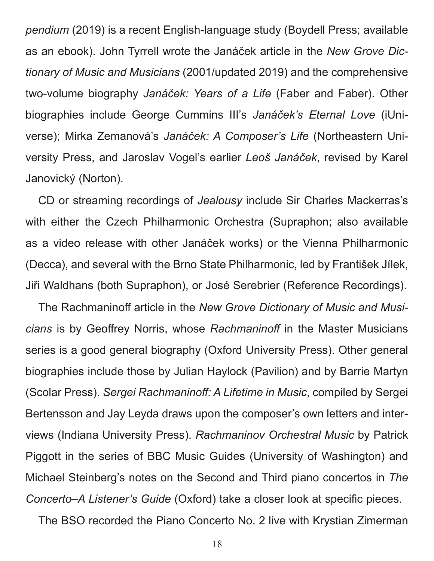*pendium* (2019) is a recent English-language study (Boydell Press; available as an ebook). John Tyrrell wrote the Janáček article in the *New Grove Dictionary of Music and Musicians* (2001/updated 2019) and the comprehensive two-volume biography *Janáček: Years of a Life* (Faber and Faber). Other biographies include George Cummins III's *Janáček's Eternal Love* (iUniverse); Mirka Zemanová's *Janáček: A Composer's Life* (Northeastern University Press, and Jaroslav Vogel's earlier *Leoš Janáček*, revised by Karel Janovický (Norton).

CD or streaming recordings of *Jealousy* include Sir Charles Mackerras's with either the Czech Philharmonic Orchestra (Supraphon; also available as a video release with other Janáček works) or the Vienna Philharmonic (Decca), and several with the Brno State Philharmonic, led by František Jílek, Jiři Waldhans (both Supraphon), or José Serebrier (Reference Recordings).

The Rachmaninoff article in the *New Grove Dictionary of Music and Musicians* is by Geoffrey Norris, whose *Rachmaninoff* in the Master Musicians series is a good general biography (Oxford University Press). Other general biographies include those by Julian Haylock (Pavilion) and by Barrie Martyn (Scolar Press). *Sergei Rachmaninoff: A Lifetime in Music*, compiled by Sergei Bertensson and Jay Leyda draws upon the composer's own letters and interviews (Indiana University Press). *Rachmaninov Orchestral Music* by Patrick Piggott in the series of BBC Music Guides (University of Washington) and Michael Steinberg's notes on the Second and Third piano concertos in *The Concerto–A Listener's Guide* (Oxford) take a closer look at specific pieces.

The BSO recorded the Piano Concerto No. 2 live with Krystian Zimerman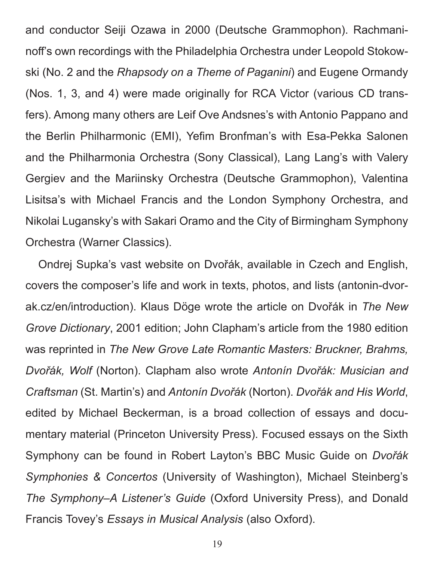and conductor Seiji Ozawa in 2000 (Deutsche Grammophon). Rachmaninoff's own recordings with the Philadelphia Orchestra under Leopold Stokowski (No. 2 and the *Rhapsody on a Theme of Paganini*) and Eugene Ormandy (Nos. 1, 3, and 4) were made originally for RCA Victor (various CD transfers). Among many others are Leif Ove Andsnes's with Antonio Pappano and the Berlin Philharmonic (EMI), Yefim Bronfman's with Esa-Pekka Salonen and the Philharmonia Orchestra (Sony Classical), Lang Lang's with Valery Gergiev and the Mariinsky Orchestra (Deutsche Grammophon), Valentina Lisitsa's with Michael Francis and the London Symphony Orchestra, and Nikolai Lugansky's with Sakari Oramo and the City of Birmingham Symphony Orchestra (Warner Classics).

Ondrej Supka's vast website on Dvořák, available in Czech and English, covers the composer's life and work in texts, photos, and lists (antonin-dvorak.cz/en/introduction). Klaus Döge wrote the article on Dvořák in *The New Grove Dictionary*, 2001 edition; John Clapham's article from the 1980 edition was reprinted in *The New Grove Late Romantic Masters: Bruckner, Brahms, Dvořák, Wolf* (Norton). Clapham also wrote *Antonín Dvořák: Musician and Craftsman* (St. Martin's) and *Antonín Dvořák* (Norton). *Dvořák and His World*, edited by Michael Beckerman, is a broad collection of essays and documentary material (Princeton University Press). Focused essays on the Sixth Symphony can be found in Robert Layton's BBC Music Guide on *Dvořák Symphonies & Concertos* (University of Washington), Michael Steinberg's *The Symphony–A Listener's Guide* (Oxford University Press), and Donald Francis Tovey's *Essays in Musical Analysis* (also Oxford).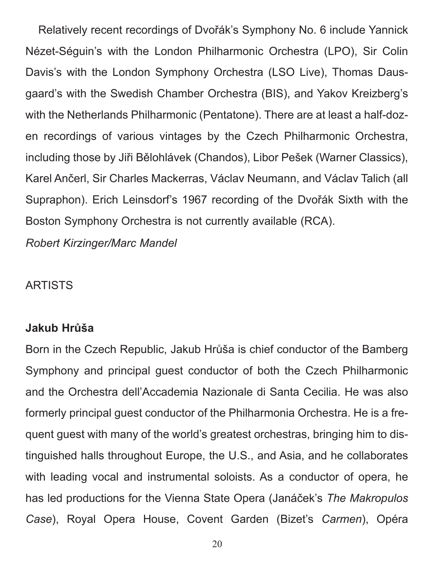Relatively recent recordings of Dvořák's Symphony No. 6 include Yannick Nézet-Séguin's with the London Philharmonic Orchestra (LPO), Sir Colin Davis's with the London Symphony Orchestra (LSO Live), Thomas Dausgaard's with the Swedish Chamber Orchestra (BIS), and Yakov Kreizberg's with the Netherlands Philharmonic (Pentatone). There are at least a half-dozen recordings of various vintages by the Czech Philharmonic Orchestra, including those by Jiři Bělohlávek (Chandos), Libor Pešek (Warner Classics), Karel Ančerl, Sir Charles Mackerras, Václav Neumann, and Václav Talich (all Supraphon). Erich Leinsdorf's 1967 recording of the Dvořák Sixth with the Boston Symphony Orchestra is not currently available (RCA). *Robert Kirzinger/Marc Mandel*

# ARTISTS

# **Jakub Hrůša**

Born in the Czech Republic, Jakub Hrůša is chief conductor of the Bamberg Symphony and principal guest conductor of both the Czech Philharmonic and the Orchestra dell'Accademia Nazionale di Santa Cecilia. He was also formerly principal guest conductor of the Philharmonia Orchestra. He is a frequent guest with many of the world's greatest orchestras, bringing him to distinguished halls throughout Europe, the U.S., and Asia, and he collaborates with leading vocal and instrumental soloists. As a conductor of opera, he has led productions for the Vienna State Opera (Janáček's *The Makropulos Case*), Royal Opera House, Covent Garden (Bizet's *Carmen*), Opéra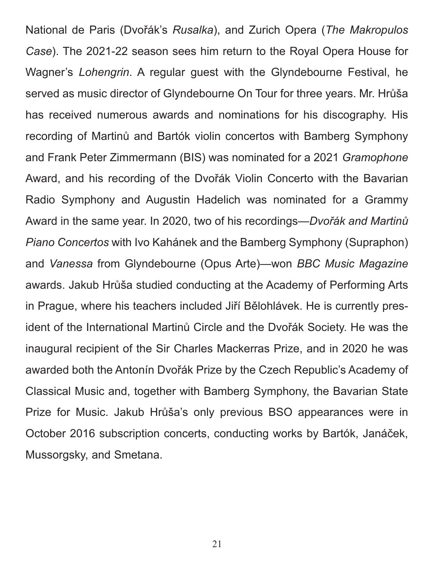National de Paris (Dvořák's *Rusalka*), and Zurich Opera (*The Makropulos Case*). The 2021-22 season sees him return to the Royal Opera House for Wagner's *Lohengrin*. A regular guest with the Glyndebourne Festival, he served as music director of Glyndebourne On Tour for three years. Mr. Hrůša has received numerous awards and nominations for his discography. His recording of Martinů and Bartók violin concertos with Bamberg Symphony and Frank Peter Zimmermann (BIS) was nominated for a 2021 *Gramophone* Award, and his recording of the Dvořák Violin Concerto with the Bavarian Radio Symphony and Augustin Hadelich was nominated for a Grammy Award in the same year. In 2020, two of his recordings—*Dvořák and Martinů Piano Concertos* with Ivo Kahánek and the Bamberg Symphony (Supraphon) and *Vanessa* from Glyndebourne (Opus Arte)—won *BBC Music Magazine* awards. Jakub Hrůša studied conducting at the Academy of Performing Arts in Prague, where his teachers included Jiří Bělohlávek. He is currently president of the International Martinů Circle and the Dvořák Society. He was the inaugural recipient of the Sir Charles Mackerras Prize, and in 2020 he was awarded both the Antonín Dvořák Prize by the Czech Republic's Academy of Classical Music and, together with Bamberg Symphony, the Bavarian State Prize for Music. Jakub Hrůša's only previous BSO appearances were in October 2016 subscription concerts, conducting works by Bartók, Janáček, Mussorgsky, and Smetana.

21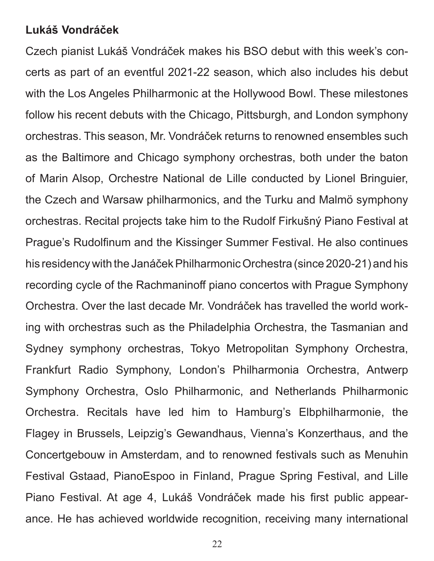## **Lukáš Vondráček**

Czech pianist Lukáš Vondráček makes his BSO debut with this week's concerts as part of an eventful 2021-22 season, which also includes his debut with the Los Angeles Philharmonic at the Hollywood Bowl. These milestones follow his recent debuts with the Chicago, Pittsburgh, and London symphony orchestras. This season, Mr. Vondráček returns to renowned ensembles such as the Baltimore and Chicago symphony orchestras, both under the baton of Marin Alsop, Orchestre National de Lille conducted by Lionel Bringuier, the Czech and Warsaw philharmonics, and the Turku and Malmö symphony orchestras. Recital projects take him to the Rudolf Firkušný Piano Festival at Prague's Rudolfinum and the Kissinger Summer Festival. He also continues his residency with the Janáček Philharmonic Orchestra (since 2020-21) and his recording cycle of the Rachmaninoff piano concertos with Prague Symphony Orchestra. Over the last decade Mr. Vondráček has travelled the world working with orchestras such as the Philadelphia Orchestra, the Tasmanian and Sydney symphony orchestras, Tokyo Metropolitan Symphony Orchestra, Frankfurt Radio Symphony, London's Philharmonia Orchestra, Antwerp Symphony Orchestra, Oslo Philharmonic, and Netherlands Philharmonic Orchestra. Recitals have led him to Hamburg's Elbphilharmonie, the Flagey in Brussels, Leipzig's Gewandhaus, Vienna's Konzerthaus, and the Concertgebouw in Amsterdam, and to renowned festivals such as Menuhin Festival Gstaad, PianoEspoo in Finland, Prague Spring Festival, and Lille Piano Festival. At age 4, Lukáš Vondráček made his first public appearance. He has achieved worldwide recognition, receiving many international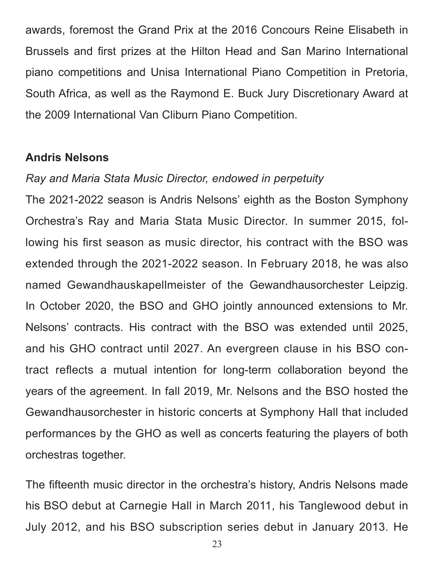awards, foremost the Grand Prix at the 2016 Concours Reine Elisabeth in Brussels and first prizes at the Hilton Head and San Marino International piano competitions and Unisa International Piano Competition in Pretoria, South Africa, as well as the Raymond E. Buck Jury Discretionary Award at the 2009 International Van Cliburn Piano Competition.

### **Andris Nelsons**

### *Ray and Maria Stata Music Director, endowed in perpetuity*

The 2021-2022 season is Andris Nelsons' eighth as the Boston Symphony Orchestra's Ray and Maria Stata Music Director. In summer 2015, following his first season as music director, his contract with the BSO was extended through the 2021-2022 season. In February 2018, he was also named Gewandhauskapellmeister of the Gewandhausorchester Leipzig. In October 2020, the BSO and GHO jointly announced extensions to Mr. Nelsons' contracts. His contract with the BSO was extended until 2025, and his GHO contract until 2027. An evergreen clause in his BSO contract reflects a mutual intention for long-term collaboration beyond the years of the agreement. In fall 2019, Mr. Nelsons and the BSO hosted the Gewandhausorchester in historic concerts at Symphony Hall that included performances by the GHO as well as concerts featuring the players of both orchestras together.

The fifteenth music director in the orchestra's history, Andris Nelsons made his BSO debut at Carnegie Hall in March 2011, his Tanglewood debut in July 2012, and his BSO subscription series debut in January 2013. He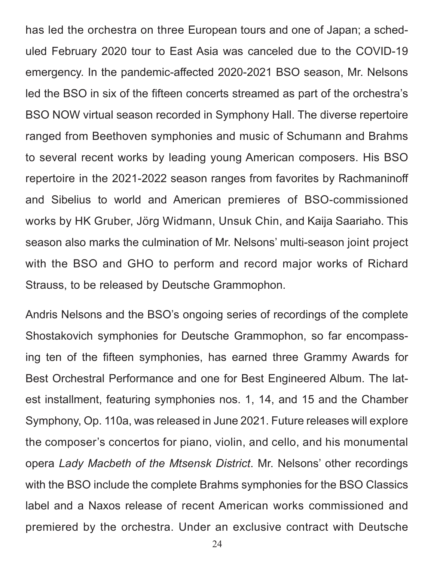has led the orchestra on three European tours and one of Japan; a scheduled February 2020 tour to East Asia was canceled due to the COVID-19 emergency. In the pandemic-affected 2020-2021 BSO season, Mr. Nelsons led the BSO in six of the fifteen concerts streamed as part of the orchestra's BSO NOW virtual season recorded in Symphony Hall. The diverse repertoire ranged from Beethoven symphonies and music of Schumann and Brahms to several recent works by leading young American composers. His BSO repertoire in the 2021-2022 season ranges from favorites by Rachmaninoff and Sibelius to world and American premieres of BSO-commissioned works by HK Gruber, Jörg Widmann, Unsuk Chin, and Kaija Saariaho. This season also marks the culmination of Mr. Nelsons' multi-season joint project with the BSO and GHO to perform and record major works of Richard Strauss, to be released by Deutsche Grammophon.

Andris Nelsons and the BSO's ongoing series of recordings of the complete Shostakovich symphonies for Deutsche Grammophon, so far encompassing ten of the fifteen symphonies, has earned three Grammy Awards for Best Orchestral Performance and one for Best Engineered Album. The latest installment, featuring symphonies nos. 1, 14, and 15 and the Chamber Symphony, Op. 110a, was released in June 2021. Future releases will explore the composer's concertos for piano, violin, and cello, and his monumental opera *Lady Macbeth of the Mtsensk District*. Mr. Nelsons' other recordings with the BSO include the complete Brahms symphonies for the BSO Classics label and a Naxos release of recent American works commissioned and premiered by the orchestra. Under an exclusive contract with Deutsche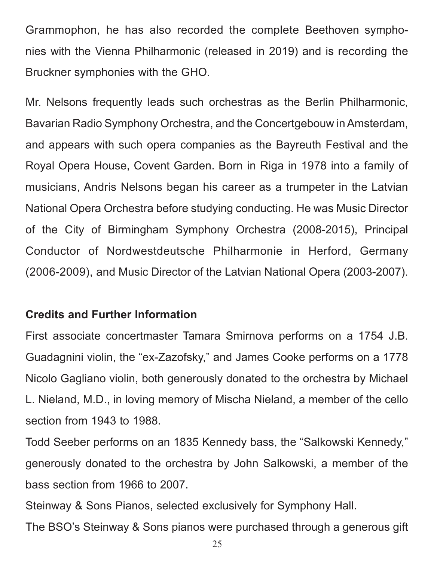Grammophon, he has also recorded the complete Beethoven symphonies with the Vienna Philharmonic (released in 2019) and is recording the Bruckner symphonies with the GHO.

Mr. Nelsons frequently leads such orchestras as the Berlin Philharmonic, Bavarian Radio Symphony Orchestra, and the Concertgebouw in Amsterdam, and appears with such opera companies as the Bayreuth Festival and the Royal Opera House, Covent Garden. Born in Riga in 1978 into a family of musicians, Andris Nelsons began his career as a trumpeter in the Latvian National Opera Orchestra before studying conducting. He was Music Director of the City of Birmingham Symphony Orchestra (2008-2015), Principal Conductor of Nordwestdeutsche Philharmonie in Herford, Germany (2006-2009), and Music Director of the Latvian National Opera (2003-2007).

# **Credits and Further Information**

First associate concertmaster Tamara Smirnova performs on a 1754 J.B. Guadagnini violin, the "ex-Zazofsky," and James Cooke performs on a 1778 Nicolo Gagliano violin, both generously donated to the orchestra by Michael L. Nieland, M.D., in loving memory of Mischa Nieland, a member of the cello section from 1943 to 1988.

Todd Seeber performs on an 1835 Kennedy bass, the "Salkowski Kennedy," generously donated to the orchestra by John Salkowski, a member of the bass section from 1966 to 2007.

Steinway & Sons Pianos, selected exclusively for Symphony Hall.

The BSO's Steinway & Sons pianos were purchased through a generous gift